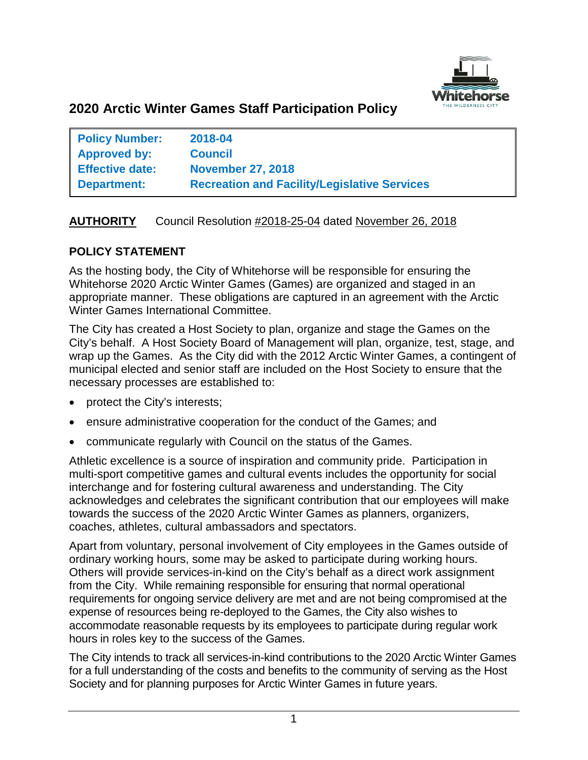

# **2020 Arctic Winter Games Staff Participation Policy**

| <b>Policy Number:</b>  | 2018-04                                             |
|------------------------|-----------------------------------------------------|
| <b>Approved by:</b>    | <b>Council</b>                                      |
| <b>Effective date:</b> | <b>November 27, 2018</b>                            |
| <b>Department:</b>     | <b>Recreation and Facility/Legislative Services</b> |

## **AUTHORITY** Council Resolution #2018-25-04 dated November 26, 2018

### **POLICY STATEMENT**

As the hosting body, the City of Whitehorse will be responsible for ensuring the Whitehorse 2020 Arctic Winter Games (Games) are organized and staged in an appropriate manner. These obligations are captured in an agreement with the Arctic Winter Games International Committee.

The City has created a Host Society to plan, organize and stage the Games on the City's behalf. A Host Society Board of Management will plan, organize, test, stage, and wrap up the Games. As the City did with the 2012 Arctic Winter Games, a contingent of municipal elected and senior staff are included on the Host Society to ensure that the necessary processes are established to:

- protect the City's interests;
- ensure administrative cooperation for the conduct of the Games; and
- communicate regularly with Council on the status of the Games.

Athletic excellence is a source of inspiration and community pride. Participation in multi-sport competitive games and cultural events includes the opportunity for social interchange and for fostering cultural awareness and understanding. The City acknowledges and celebrates the significant contribution that our employees will make towards the success of the 2020 Arctic Winter Games as planners, organizers, coaches, athletes, cultural ambassadors and spectators.

Apart from voluntary, personal involvement of City employees in the Games outside of ordinary working hours, some may be asked to participate during working hours. Others will provide services-in-kind on the City's behalf as a direct work assignment from the City. While remaining responsible for ensuring that normal operational requirements for ongoing service delivery are met and are not being compromised at the expense of resources being re-deployed to the Games, the City also wishes to accommodate reasonable requests by its employees to participate during regular work hours in roles key to the success of the Games.

The City intends to track all services-in-kind contributions to the 2020 Arctic Winter Games for a full understanding of the costs and benefits to the community of serving as the Host Society and for planning purposes for Arctic Winter Games in future years.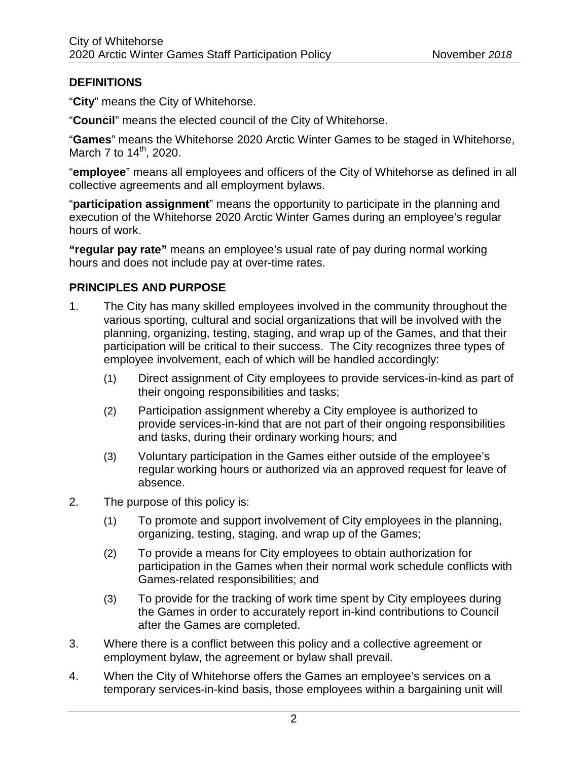## **DEFINITIONS**

"**City**" means the City of Whitehorse.

"**Council**" means the elected council of the City of Whitehorse.

"**Games**" means the Whitehorse 2020 Arctic Winter Games to be staged in Whitehorse, March 7 to  $14^{th}$ , 2020.

"**employee**" means all employees and officers of the City of Whitehorse as defined in all collective agreements and all employment bylaws.

"**participation assignment**" means the opportunity to participate in the planning and execution of the Whitehorse 2020 Arctic Winter Games during an employee's regular hours of work.

**"regular pay rate"** means an employee's usual rate of pay during normal working hours and does not include pay at over-time rates.

## **PRINCIPLES AND PURPOSE**

- 1. The City has many skilled employees involved in the community throughout the various sporting, cultural and social organizations that will be involved with the planning, organizing, testing, staging, and wrap up of the Games, and that their participation will be critical to their success. The City recognizes three types of employee involvement, each of which will be handled accordingly:
	- (1) Direct assignment of City employees to provide services-in-kind as part of their ongoing responsibilities and tasks;
	- (2) Participation assignment whereby a City employee is authorized to provide services-in-kind that are not part of their ongoing responsibilities and tasks, during their ordinary working hours; and
	- (3) Voluntary participation in the Games either outside of the employee's regular working hours or authorized via an approved request for leave of absence.
- 2. The purpose of this policy is:
	- (1) To promote and support involvement of City employees in the planning, organizing, testing, staging, and wrap up of the Games;
	- (2) To provide a means for City employees to obtain authorization for participation in the Games when their normal work schedule conflicts with Games-related responsibilities; and
	- (3) To provide for the tracking of work time spent by City employees during the Games in order to accurately report in-kind contributions to Council after the Games are completed.
- 3. Where there is a conflict between this policy and a collective agreement or employment bylaw, the agreement or bylaw shall prevail.
- 4. When the City of Whitehorse offers the Games an employee's services on a temporary services-in-kind basis, those employees within a bargaining unit will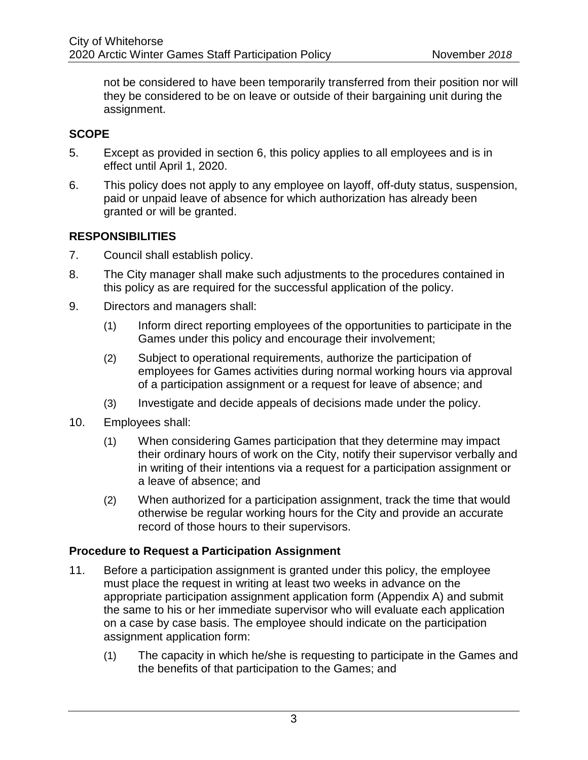not be considered to have been temporarily transferred from their position nor will they be considered to be on leave or outside of their bargaining unit during the assignment.

### **SCOPE**

- 5. Except as provided in section 6, this policy applies to all employees and is in effect until April 1, 2020.
- 6. This policy does not apply to any employee on layoff, off-duty status, suspension, paid or unpaid leave of absence for which authorization has already been granted or will be granted.

### **RESPONSIBILITIES**

- 7. Council shall establish policy.
- 8. The City manager shall make such adjustments to the procedures contained in this policy as are required for the successful application of the policy.
- 9. Directors and managers shall:
	- (1) Inform direct reporting employees of the opportunities to participate in the Games under this policy and encourage their involvement;
	- (2) Subject to operational requirements, authorize the participation of employees for Games activities during normal working hours via approval of a participation assignment or a request for leave of absence; and
	- (3) Investigate and decide appeals of decisions made under the policy.
- 10. Employees shall:
	- (1) When considering Games participation that they determine may impact their ordinary hours of work on the City, notify their supervisor verbally and in writing of their intentions via a request for a participation assignment or a leave of absence; and
	- (2) When authorized for a participation assignment, track the time that would otherwise be regular working hours for the City and provide an accurate record of those hours to their supervisors.

### **Procedure to Request a Participation Assignment**

- 11. Before a participation assignment is granted under this policy, the employee must place the request in writing at least two weeks in advance on the appropriate participation assignment application form (Appendix A) and submit the same to his or her immediate supervisor who will evaluate each application on a case by case basis. The employee should indicate on the participation assignment application form:
	- (1) The capacity in which he/she is requesting to participate in the Games and the benefits of that participation to the Games; and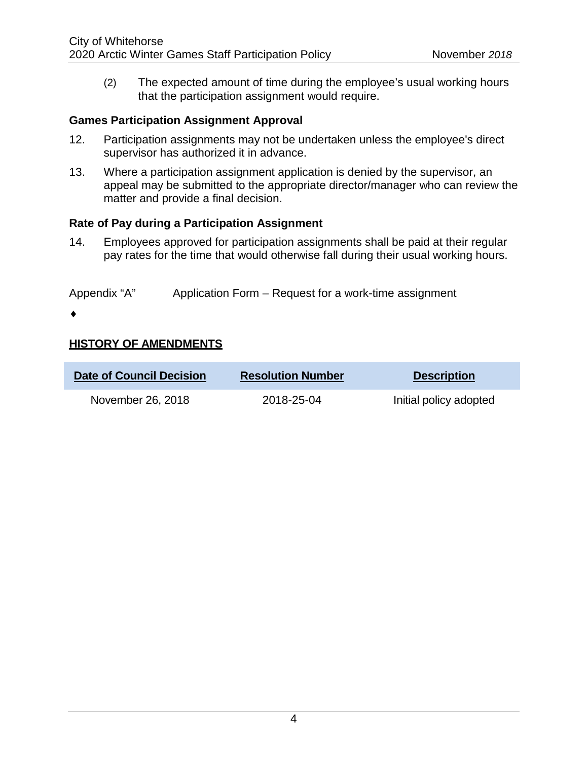(2) The expected amount of time during the employee's usual working hours that the participation assignment would require.

#### **Games Participation Assignment Approval**

- 12. Participation assignments may not be undertaken unless the employee's direct supervisor has authorized it in advance.
- 13. Where a participation assignment application is denied by the supervisor, an appeal may be submitted to the appropriate director/manager who can review the matter and provide a final decision.

#### **Rate of Pay during a Participation Assignment**

14. Employees approved for participation assignments shall be paid at their regular pay rates for the time that would otherwise fall during their usual working hours.

Appendix "A" Application Form – Request for a work-time assignment

♦

### **HISTORY OF AMENDMENTS**

| <b>Date of Council Decision</b> | <b>Resolution Number</b> | <b>Description</b>     |
|---------------------------------|--------------------------|------------------------|
| November 26, 2018               | 2018-25-04               | Initial policy adopted |